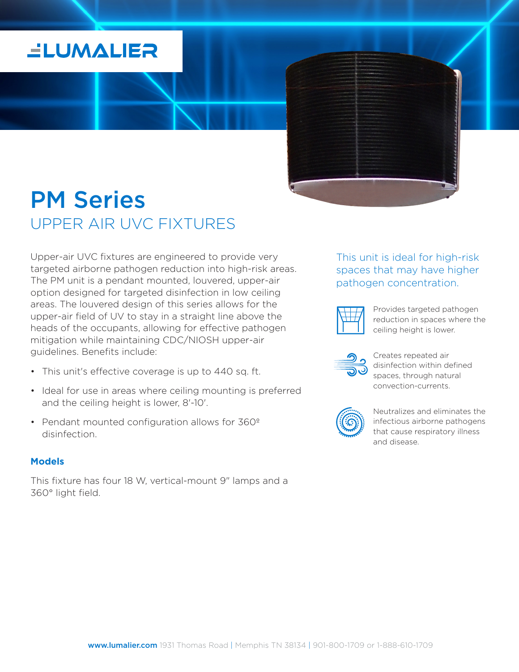## **ELUMALIER**

## PM Series UPPER AIR UVC FIXTURES

Upper-air UVC fixtures are engineered to provide very targeted airborne pathogen reduction into high-risk areas. The PM unit is a pendant mounted, louvered, upper-air option designed for targeted disinfection in low ceiling areas. The louvered design of this series allows for the upper-air field of UV to stay in a straight line above the heads of the occupants, allowing for effective pathogen mitigation while maintaining CDC/NIOSH upper-air guidelines. Benefits include:

- This unit's effective coverage is up to 440 sq. ft.
- Ideal for use in areas where ceiling mounting is preferred and the ceiling height is lower, 8'-10'.
- Pendant mounted configuration allows for 360º disinfection.

#### **Models**

This fixture has four 18 W, vertical-mount 9" lamps and a 360° light field.

### This unit is ideal for high-risk spaces that may have higher pathogen concentration.

Provides targeted pathogen reduction in spaces where the ceiling height is lower.



Creates repeated air disinfection within defined spaces, through natural convection-currents.



Neutralizes and eliminates the infectious airborne pathogens that cause respiratory illness and disease.